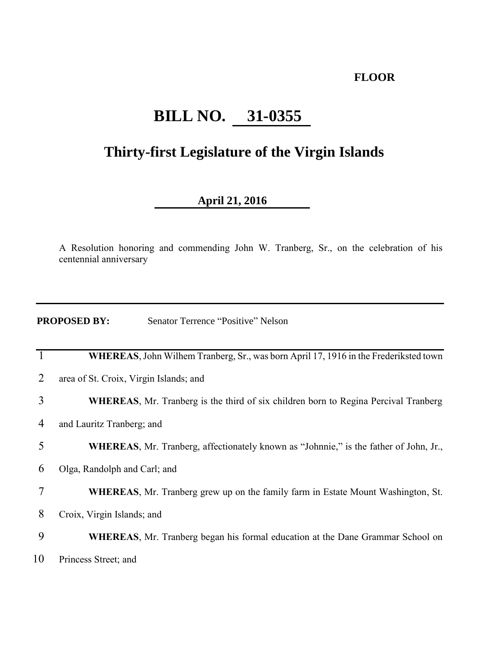#### **FLOOR**

# **BILL NO. 31-0355**

## **Thirty-first Legislature of the Virgin Islands**

### **April 21, 2016**

A Resolution honoring and commending John W. Tranberg, Sr., on the celebration of his centennial anniversary

| <b>PROPOSED BY:</b> | Senator Terrence "Positive" Nelson |  |
|---------------------|------------------------------------|--|
|                     |                                    |  |

|    | <b>WHEREAS</b> , John Wilhem Tranberg, Sr., was born April 17, 1916 in the Frederiksted town |
|----|----------------------------------------------------------------------------------------------|
| 2  | area of St. Croix, Virgin Islands; and                                                       |
| 3  | <b>WHEREAS, Mr. Tranberg is the third of six children born to Regina Percival Tranberg</b>   |
| 4  | and Lauritz Tranberg; and                                                                    |
| 5  | <b>WHEREAS,</b> Mr. Tranberg, affectionately known as "Johnnie," is the father of John, Jr., |
| 6  | Olga, Randolph and Carl; and                                                                 |
| 7  | <b>WHEREAS, Mr. Tranberg grew up on the family farm in Estate Mount Washington, St.</b>      |
| 8  | Croix, Virgin Islands; and                                                                   |
| 9  | <b>WHEREAS, Mr. Tranberg began his formal education at the Dane Grammar School on</b>        |
| 10 | Princess Street; and                                                                         |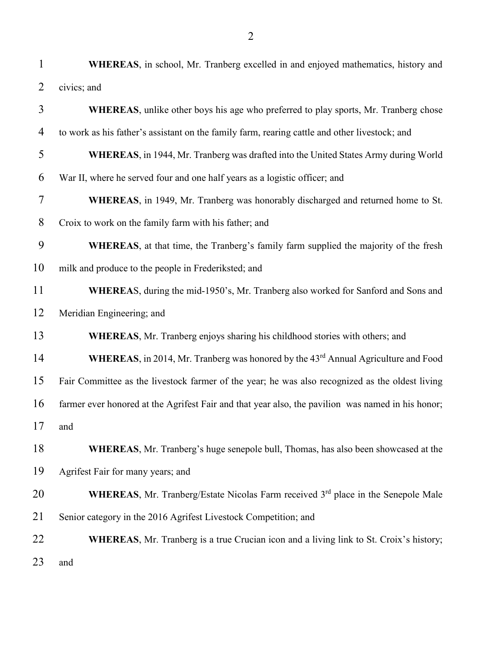| $\mathbf{1}$   | <b>WHEREAS</b> , in school, Mr. Tranberg excelled in and enjoyed mathematics, history and             |
|----------------|-------------------------------------------------------------------------------------------------------|
| $\overline{2}$ | civics; and                                                                                           |
| 3              | <b>WHEREAS</b> , unlike other boys his age who preferred to play sports, Mr. Tranberg chose           |
| 4              | to work as his father's assistant on the family farm, rearing cattle and other livestock; and         |
| 5              | <b>WHEREAS</b> , in 1944, Mr. Tranberg was drafted into the United States Army during World           |
| 6              | War II, where he served four and one half years as a logistic officer; and                            |
| 7              | WHEREAS, in 1949, Mr. Tranberg was honorably discharged and returned home to St.                      |
| 8              | Croix to work on the family farm with his father; and                                                 |
| 9              | <b>WHEREAS</b> , at that time, the Tranberg's family farm supplied the majority of the fresh          |
| 10             | milk and produce to the people in Frederiksted; and                                                   |
| 11             | WHEREAS, during the mid-1950's, Mr. Tranberg also worked for Sanford and Sons and                     |
| 12             | Meridian Engineering; and                                                                             |
| 13             | <b>WHEREAS, Mr. Tranberg enjoys sharing his childhood stories with others; and</b>                    |
| 14             | WHEREAS, in 2014, Mr. Tranberg was honored by the 43 <sup>rd</sup> Annual Agriculture and Food        |
| 15             | Fair Committee as the livestock farmer of the year; he was also recognized as the oldest living       |
| 16             | farmer ever honored at the Agrifest Fair and that year also, the pavilion was named in his honor;     |
| 17             | and                                                                                                   |
| 18             | <b>WHEREAS, Mr.</b> Tranberg's huge senepole bull, Thomas, has also been showcased at the             |
| 19             | Agrifest Fair for many years; and                                                                     |
| 20             | <b>WHEREAS</b> , Mr. Tranberg/Estate Nicolas Farm received 3 <sup>rd</sup> place in the Senepole Male |
| 21             | Senior category in the 2016 Agrifest Livestock Competition; and                                       |
| 22             | <b>WHEREAS</b> , Mr. Tranberg is a true Crucian icon and a living link to St. Croix's history;        |
| 23             | and                                                                                                   |